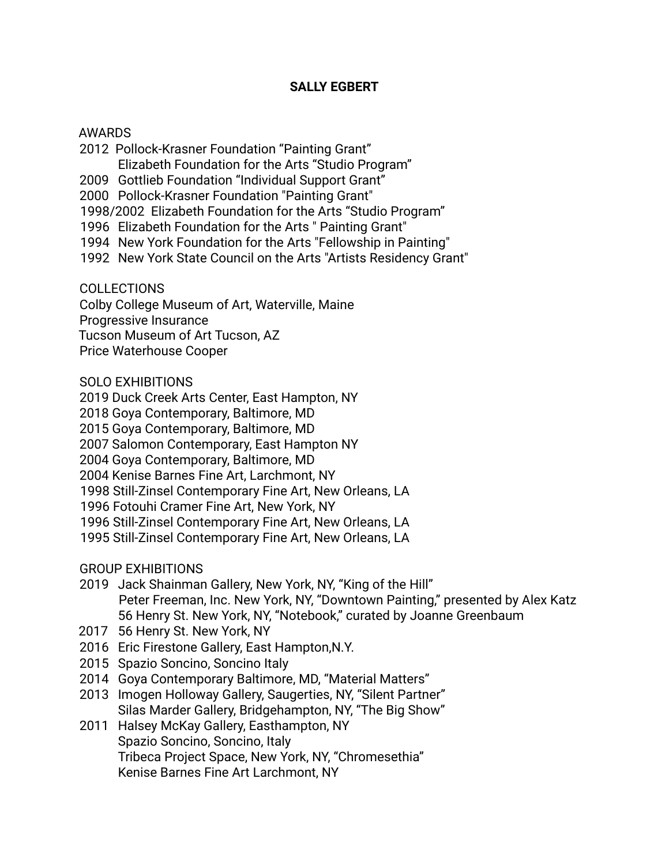## **SALLY EGBERT**

## AWARDS

- 2012 Pollock-Krasner Foundation "Painting Grant" Elizabeth Foundation for the Arts "Studio Program"
- 2009 Gottlieb Foundation "Individual Support Grant"
- 2000 Pollock-Krasner Foundation "Painting Grant"
- 1998/2002 Elizabeth Foundation for the Arts "Studio Program"
- 1996 Elizabeth Foundation for the Arts " Painting Grant"
- 1994 New York Foundation for the Arts "Fellowship in Painting"
- 1992 New York State Council on the Arts "Artists Residency Grant"

COLLECTIONS

Colby College Museum of Art, Waterville, Maine

Progressive Insurance

Tucson Museum of Art Tucson, AZ

Price Waterhouse Cooper

SOLO EXHIBITIONS

2019 Duck Creek Arts Center, East Hampton, NY

2018 Goya Contemporary, Baltimore, MD

2015 Goya Contemporary, Baltimore, MD

2007 Salomon Contemporary, East Hampton NY

2004 Goya Contemporary, Baltimore, MD

2004 Kenise Barnes Fine Art, Larchmont, NY

1998 Still-Zinsel Contemporary Fine Art, New Orleans, LA

1996 Fotouhi Cramer Fine Art, New York, NY

1996 Still-Zinsel Contemporary Fine Art, New Orleans, LA

1995 Still-Zinsel Contemporary Fine Art, New Orleans, LA

GROUP EXHIBITIONS

- 2019 Jack Shainman Gallery, New York, NY, "King of the Hill" Peter Freeman, Inc. New York, NY, "Downtown Painting," presented by Alex Katz 56 Henry St. New York, NY, "Notebook," curated by Joanne Greenbaum
- 2017 56 Henry St. New York, NY
- 2016 Eric Firestone Gallery, East Hampton,N.Y.
- 2015 Spazio Soncino, Soncino Italy
- 2014 Goya Contemporary Baltimore, MD, "Material Matters"
- 2013 Imogen Holloway Gallery, Saugerties, NY, "Silent Partner" Silas Marder Gallery, Bridgehampton, NY, "The Big Show"
- 2011 Halsey McKay Gallery, Easthampton, NY Spazio Soncino, Soncino, Italy Tribeca Project Space, New York, NY, "Chromesethia" Kenise Barnes Fine Art Larchmont, NY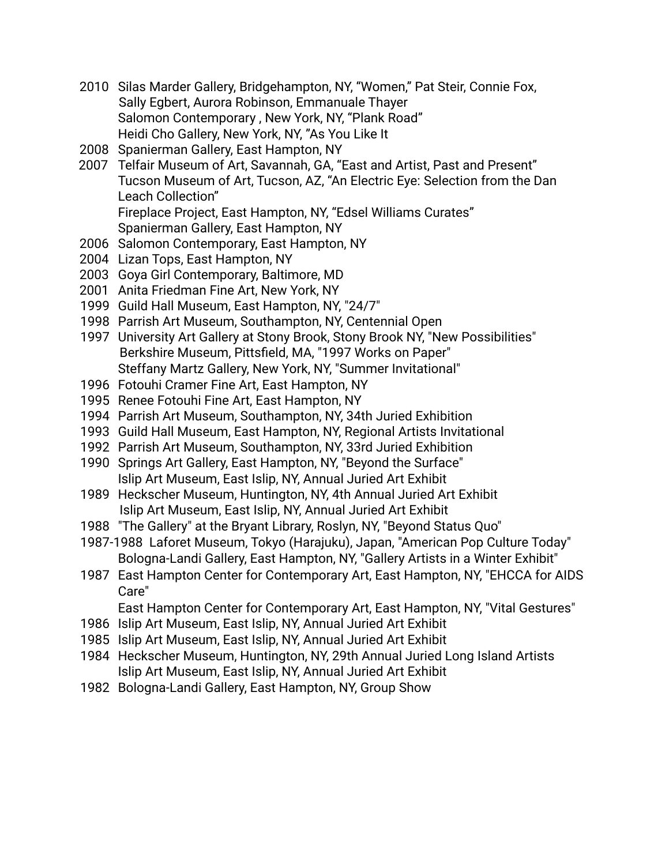- 2010 Silas Marder Gallery, Bridgehampton, NY, "Women," Pat Steir, Connie Fox, Sally Egbert, Aurora Robinson, Emmanuale Thayer Salomon Contemporary , New York, NY, "Plank Road" Heidi Cho Gallery, New York, NY, "As You Like It
- 2008 Spanierman Gallery, East Hampton, NY
- 2007 Telfair Museum of Art, Savannah, GA, "East and Artist, Past and Present" Tucson Museum of Art, Tucson, AZ, "An Electric Eye: Selection from the Dan Leach Collection" Fireplace Project, East Hampton, NY, "Edsel Williams Curates"
	- Spanierman Gallery, East Hampton, NY
- 2006 Salomon Contemporary, East Hampton, NY
- 2004 Lizan Tops, East Hampton, NY
- 2003 Goya Girl Contemporary, Baltimore, MD
- 2001 Anita Friedman Fine Art, New York, NY
- 1999 Guild Hall Museum, East Hampton, NY, "24/7"
- 1998 Parrish Art Museum, Southampton, NY, Centennial Open
- 1997 University Art Gallery at Stony Brook, Stony Brook NY, "New Possibilities" Berkshire Museum, Pittsfield, MA, "1997 Works on Paper" Steffany Martz Gallery, New York, NY, "Summer Invitational"
- 1996 Fotouhi Cramer Fine Art, East Hampton, NY
- 1995 Renee Fotouhi Fine Art, East Hampton, NY
- 1994 Parrish Art Museum, Southampton, NY, 34th Juried Exhibition
- 1993 Guild Hall Museum, East Hampton, NY, Regional Artists Invitational
- 1992 Parrish Art Museum, Southampton, NY, 33rd Juried Exhibition
- 1990 Springs Art Gallery, East Hampton, NY, "Beyond the Surface" Islip Art Museum, East Islip, NY, Annual Juried Art Exhibit
- 1989 Heckscher Museum, Huntington, NY, 4th Annual Juried Art Exhibit Islip Art Museum, East Islip, NY, Annual Juried Art Exhibit
- 1988 "The Gallery" at the Bryant Library, Roslyn, NY, "Beyond Status Quo"
- 1987-1988 Laforet Museum, Tokyo (Harajuku), Japan, "American Pop Culture Today" Bologna-Landi Gallery, East Hampton, NY, "Gallery Artists in a Winter Exhibit"
- 1987 East Hampton Center for Contemporary Art, East Hampton, NY, "EHCCA for AIDS Care"
	- East Hampton Center for Contemporary Art, East Hampton, NY, "Vital Gestures"
- 1986 Islip Art Museum, East Islip, NY, Annual Juried Art Exhibit
- 1985 Islip Art Museum, East Islip, NY, Annual Juried Art Exhibit
- 1984 Heckscher Museum, Huntington, NY, 29th Annual Juried Long Island Artists Islip Art Museum, East Islip, NY, Annual Juried Art Exhibit
- 1982 Bologna-Landi Gallery, East Hampton, NY, Group Show